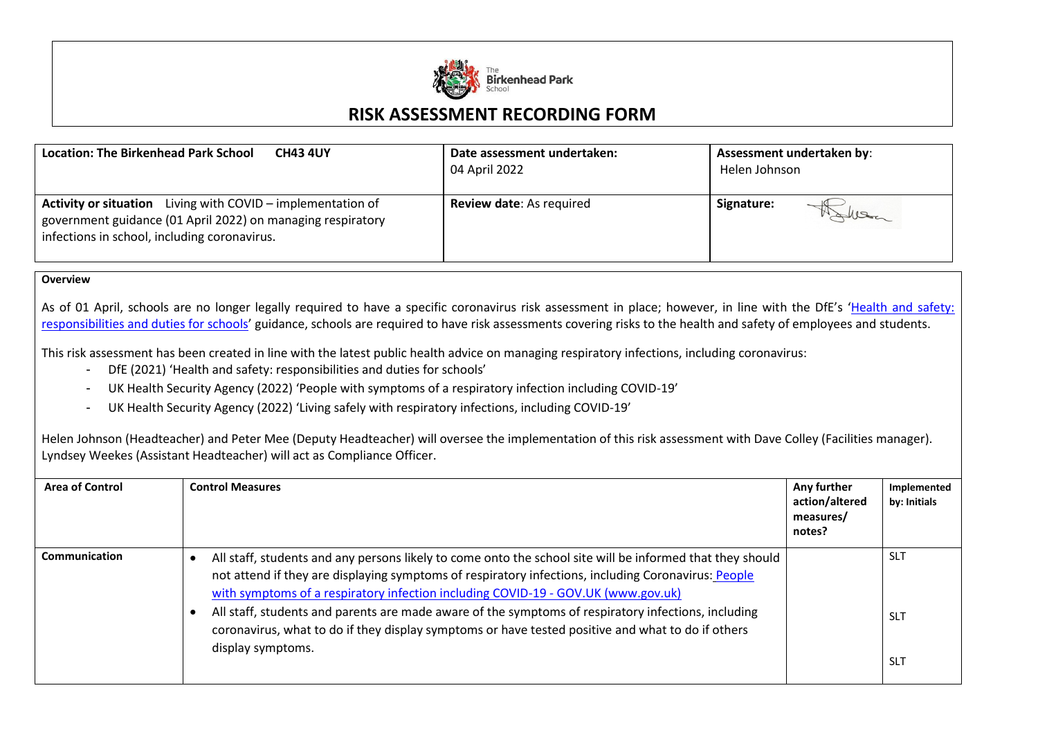

## **RISK ASSESSMENT RECORDING FORM**

| <b>Location: The Birkenhead Park School</b>                                                                                                                                       | Date assessment undertaken:     | Assessment undertaken by: |  |
|-----------------------------------------------------------------------------------------------------------------------------------------------------------------------------------|---------------------------------|---------------------------|--|
| <b>CH43 4UY</b>                                                                                                                                                                   | 04 April 2022                   | Helen Johnson             |  |
| <b>Activity or situation</b> Living with COVID – implementation of<br>government guidance (01 April 2022) on managing respiratory<br>infections in school, including coronavirus. | <b>Review date: As required</b> | Signature:<br>MANDER      |  |

## **Overview**

As of 01 April, schools are no longer legally required to have a specific coronavirus risk assessment in place; however, in line with the DfE's 'Health and safety: [responsibilities and duties for schools](https://www.gov.uk/government/publications/health-and-safety-advice-for-schools/responsibilities-and-duties-for-schools)' guidance, schools are required to have risk assessments covering risks to the health and safety of employees and students.

This risk assessment has been created in line with the latest public health advice on managing respiratory infections, including coronavirus:

- DfE (2021) 'Health and safety: responsibilities and duties for schools'
- UK Health Security Agency (2022) 'People with symptoms of a respiratory infection including COVID-19'
- UK Health Security Agency (2022) 'Living safely with respiratory infections, including COVID-19'

Helen Johnson (Headteacher) and Peter Mee (Deputy Headteacher) will oversee the implementation of this risk assessment with Dave Colley (Facilities manager). Lyndsey Weekes (Assistant Headteacher) will act as Compliance Officer.

| <b>Area of Control</b> | <b>Control Measures</b>                                                                                                                                                                                                                                                                                                                                                                                                                                                                                                                | Any further<br>action/altered<br>measures/<br>notes? | Implemented<br>by: Initials            |
|------------------------|----------------------------------------------------------------------------------------------------------------------------------------------------------------------------------------------------------------------------------------------------------------------------------------------------------------------------------------------------------------------------------------------------------------------------------------------------------------------------------------------------------------------------------------|------------------------------------------------------|----------------------------------------|
| Communication          | All staff, students and any persons likely to come onto the school site will be informed that they should<br>not attend if they are displaying symptoms of respiratory infections, including Coronavirus: People<br>with symptoms of a respiratory infection including COVID-19 - GOV.UK (www.gov.uk)<br>All staff, students and parents are made aware of the symptoms of respiratory infections, including<br>coronavirus, what to do if they display symptoms or have tested positive and what to do if others<br>display symptoms. |                                                      | <b>SLT</b><br><b>SLT</b><br><b>SLT</b> |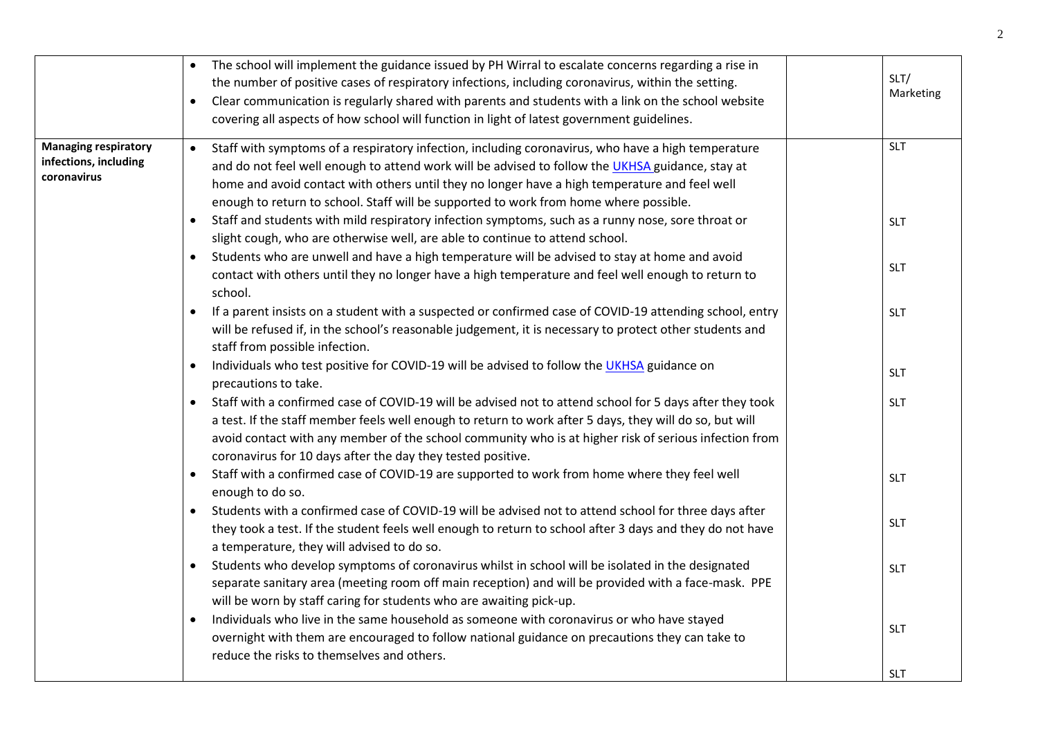|                                                                     | The school will implement the guidance issued by PH Wirral to escalate concerns regarding a rise in<br>the number of positive cases of respiratory infections, including coronavirus, within the setting.<br>Clear communication is regularly shared with parents and students with a link on the school website<br>$\bullet$<br>covering all aspects of how school will function in light of latest government guidelines. | SLT/<br>Marketing |
|---------------------------------------------------------------------|-----------------------------------------------------------------------------------------------------------------------------------------------------------------------------------------------------------------------------------------------------------------------------------------------------------------------------------------------------------------------------------------------------------------------------|-------------------|
| <b>Managing respiratory</b><br>infections, including<br>coronavirus | Staff with symptoms of a respiratory infection, including coronavirus, who have a high temperature<br>$\bullet$<br>and do not feel well enough to attend work will be advised to follow the UKHSA guidance, stay at<br>home and avoid contact with others until they no longer have a high temperature and feel well<br>enough to return to school. Staff will be supported to work from home where possible.               | <b>SLT</b>        |
|                                                                     | Staff and students with mild respiratory infection symptoms, such as a runny nose, sore throat or<br>slight cough, who are otherwise well, are able to continue to attend school.                                                                                                                                                                                                                                           | <b>SLT</b>        |
|                                                                     | Students who are unwell and have a high temperature will be advised to stay at home and avoid<br>contact with others until they no longer have a high temperature and feel well enough to return to<br>school.                                                                                                                                                                                                              | <b>SLT</b>        |
|                                                                     | If a parent insists on a student with a suspected or confirmed case of COVID-19 attending school, entry<br>will be refused if, in the school's reasonable judgement, it is necessary to protect other students and<br>staff from possible infection.                                                                                                                                                                        | <b>SLT</b>        |
|                                                                     | Individuals who test positive for COVID-19 will be advised to follow the UKHSA guidance on<br>$\bullet$<br>precautions to take.                                                                                                                                                                                                                                                                                             | <b>SLT</b>        |
|                                                                     | Staff with a confirmed case of COVID-19 will be advised not to attend school for 5 days after they took<br>$\bullet$<br>a test. If the staff member feels well enough to return to work after 5 days, they will do so, but will<br>avoid contact with any member of the school community who is at higher risk of serious infection from<br>coronavirus for 10 days after the day they tested positive.                     | <b>SLT</b>        |
|                                                                     | Staff with a confirmed case of COVID-19 are supported to work from home where they feel well<br>$\bullet$<br>enough to do so.                                                                                                                                                                                                                                                                                               | <b>SLT</b>        |
|                                                                     | Students with a confirmed case of COVID-19 will be advised not to attend school for three days after<br>they took a test. If the student feels well enough to return to school after 3 days and they do not have<br>a temperature, they will advised to do so.                                                                                                                                                              | <b>SLT</b>        |
|                                                                     | Students who develop symptoms of coronavirus whilst in school will be isolated in the designated<br>separate sanitary area (meeting room off main reception) and will be provided with a face-mask. PPE<br>will be worn by staff caring for students who are awaiting pick-up.                                                                                                                                              | <b>SLT</b>        |
|                                                                     | Individuals who live in the same household as someone with coronavirus or who have stayed<br>$\bullet$<br>overnight with them are encouraged to follow national guidance on precautions they can take to<br>reduce the risks to themselves and others.                                                                                                                                                                      | <b>SLT</b>        |
|                                                                     |                                                                                                                                                                                                                                                                                                                                                                                                                             | <b>SLT</b>        |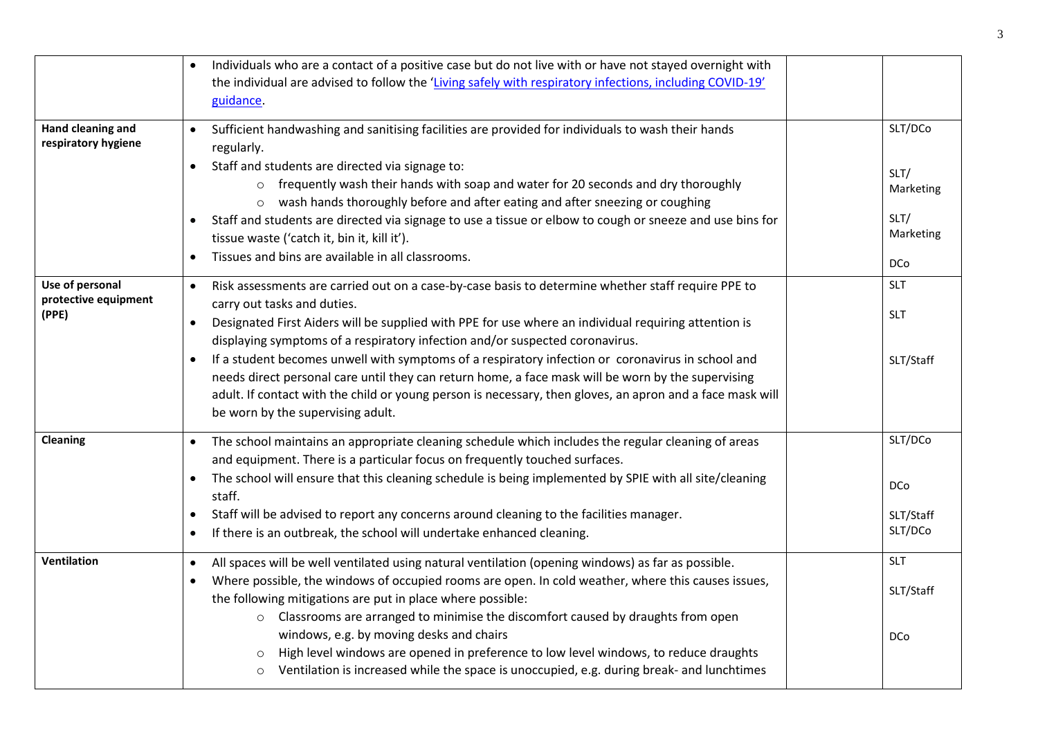|                                                  | Individuals who are a contact of a positive case but do not live with or have not stayed overnight with<br>the individual are advised to follow the 'Living safely with respiratory infections, including COVID-19'<br>guidance.                                                                                                                                                                                                                                                                                                                                                                                                                                                                                 |                                                                 |
|--------------------------------------------------|------------------------------------------------------------------------------------------------------------------------------------------------------------------------------------------------------------------------------------------------------------------------------------------------------------------------------------------------------------------------------------------------------------------------------------------------------------------------------------------------------------------------------------------------------------------------------------------------------------------------------------------------------------------------------------------------------------------|-----------------------------------------------------------------|
| Hand cleaning and<br>respiratory hygiene         | Sufficient handwashing and sanitising facilities are provided for individuals to wash their hands<br>$\bullet$<br>regularly.<br>Staff and students are directed via signage to:<br>$\bullet$<br>o frequently wash their hands with soap and water for 20 seconds and dry thoroughly<br>wash hands thoroughly before and after eating and after sneezing or coughing<br>$\circ$<br>Staff and students are directed via signage to use a tissue or elbow to cough or sneeze and use bins for<br>tissue waste ('catch it, bin it, kill it').<br>Tissues and bins are available in all classrooms.                                                                                                                   | SLT/DCo<br>SLT/<br>Marketing<br>SLT/<br>Marketing<br><b>DCo</b> |
| Use of personal<br>protective equipment<br>(PPE) | Risk assessments are carried out on a case-by-case basis to determine whether staff require PPE to<br>$\bullet$<br>carry out tasks and duties.<br>Designated First Aiders will be supplied with PPE for use where an individual requiring attention is<br>$\bullet$<br>displaying symptoms of a respiratory infection and/or suspected coronavirus.<br>If a student becomes unwell with symptoms of a respiratory infection or coronavirus in school and<br>needs direct personal care until they can return home, a face mask will be worn by the supervising<br>adult. If contact with the child or young person is necessary, then gloves, an apron and a face mask will<br>be worn by the supervising adult. | <b>SLT</b><br><b>SLT</b><br>SLT/Staff                           |
| Cleaning                                         | The school maintains an appropriate cleaning schedule which includes the regular cleaning of areas<br>and equipment. There is a particular focus on frequently touched surfaces.<br>The school will ensure that this cleaning schedule is being implemented by SPIE with all site/cleaning<br>$\bullet$<br>staff.<br>Staff will be advised to report any concerns around cleaning to the facilities manager.<br>$\bullet$<br>If there is an outbreak, the school will undertake enhanced cleaning.<br>$\bullet$                                                                                                                                                                                                  | SLT/DCo<br><b>DCo</b><br>SLT/Staff<br>SLT/DCo                   |
| <b>Ventilation</b>                               | All spaces will be well ventilated using natural ventilation (opening windows) as far as possible.<br>$\bullet$<br>Where possible, the windows of occupied rooms are open. In cold weather, where this causes issues,<br>the following mitigations are put in place where possible:<br>o Classrooms are arranged to minimise the discomfort caused by draughts from open<br>windows, e.g. by moving desks and chairs<br>High level windows are opened in preference to low level windows, to reduce draughts<br>$\circ$<br>Ventilation is increased while the space is unoccupied, e.g. during break- and lunchtimes<br>$\circ$                                                                                  | <b>SLT</b><br>SLT/Staff<br><b>DCo</b>                           |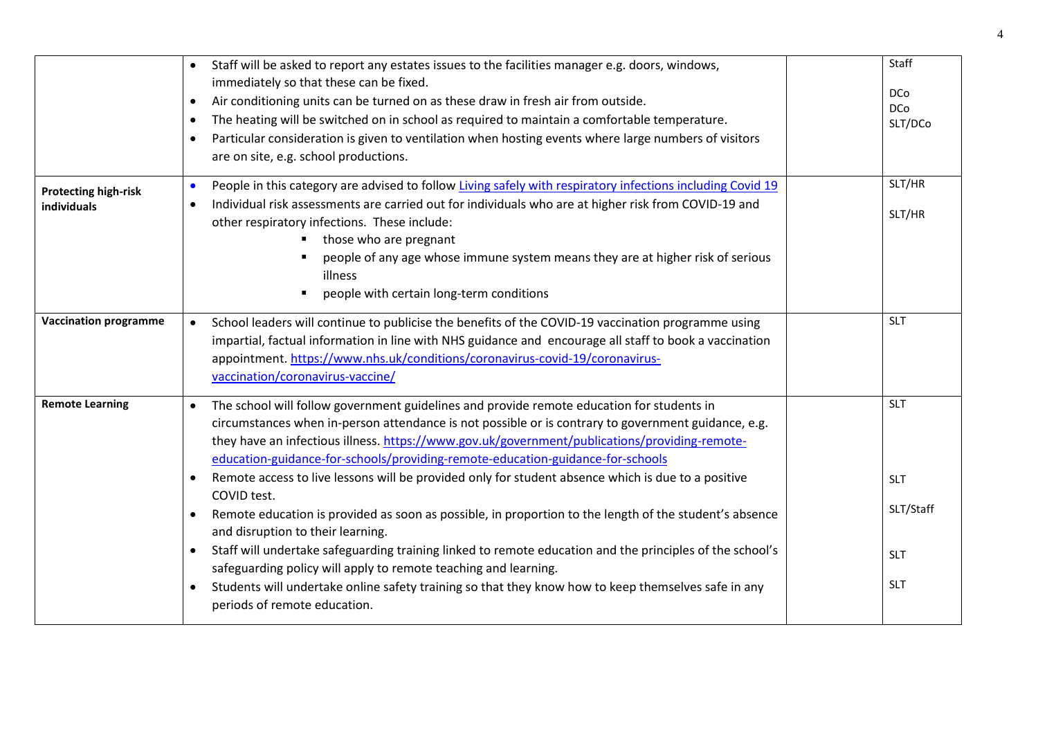|                              | Staff will be asked to report any estates issues to the facilities manager e.g. doors, windows,<br>immediately so that these can be fixed.<br>Air conditioning units can be turned on as these draw in fresh air from outside.<br>$\bullet$ | Staff<br>D <sub>C</sub> o |
|------------------------------|---------------------------------------------------------------------------------------------------------------------------------------------------------------------------------------------------------------------------------------------|---------------------------|
|                              | The heating will be switched on in school as required to maintain a comfortable temperature.                                                                                                                                                | <b>DCo</b>                |
|                              | $\bullet$                                                                                                                                                                                                                                   | SLT/DCo                   |
|                              | Particular consideration is given to ventilation when hosting events where large numbers of visitors<br>$\bullet$<br>are on site, e.g. school productions.                                                                                  |                           |
| <b>Protecting high-risk</b>  | People in this category are advised to follow Living safely with respiratory infections including Covid 19<br>$\bullet$                                                                                                                     | SLT/HR                    |
| individuals                  | Individual risk assessments are carried out for individuals who are at higher risk from COVID-19 and<br>other respiratory infections. These include:<br>those who are pregnant                                                              | SLT/HR                    |
|                              | people of any age whose immune system means they are at higher risk of serious<br>illness                                                                                                                                                   |                           |
|                              | people with certain long-term conditions                                                                                                                                                                                                    |                           |
| <b>Vaccination programme</b> | School leaders will continue to publicise the benefits of the COVID-19 vaccination programme using                                                                                                                                          | <b>SLT</b>                |
|                              | impartial, factual information in line with NHS guidance and encourage all staff to book a vaccination                                                                                                                                      |                           |
|                              | appointment. https://www.nhs.uk/conditions/coronavirus-covid-19/coronavirus-                                                                                                                                                                |                           |
|                              | vaccination/coronavirus-vaccine/                                                                                                                                                                                                            |                           |
| <b>Remote Learning</b>       | The school will follow government guidelines and provide remote education for students in<br>$\bullet$                                                                                                                                      | <b>SLT</b>                |
|                              | circumstances when in-person attendance is not possible or is contrary to government guidance, e.g.                                                                                                                                         |                           |
|                              | they have an infectious illness. https://www.gov.uk/government/publications/providing-remote-                                                                                                                                               |                           |
|                              | education-guidance-for-schools/providing-remote-education-guidance-for-schools                                                                                                                                                              |                           |
|                              | Remote access to live lessons will be provided only for student absence which is due to a positive<br>COVID test.                                                                                                                           | <b>SLT</b>                |
|                              | Remote education is provided as soon as possible, in proportion to the length of the student's absence                                                                                                                                      | SLT/Staff                 |
|                              | and disruption to their learning.                                                                                                                                                                                                           |                           |
|                              | Staff will undertake safeguarding training linked to remote education and the principles of the school's<br>$\bullet$<br>safeguarding policy will apply to remote teaching and learning.                                                    | <b>SLT</b>                |
|                              | Students will undertake online safety training so that they know how to keep themselves safe in any                                                                                                                                         | <b>SLT</b>                |
|                              | periods of remote education.                                                                                                                                                                                                                |                           |